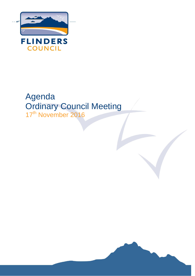

# Agenda Ordinary Council Meeting 17<sup>th</sup> November 2016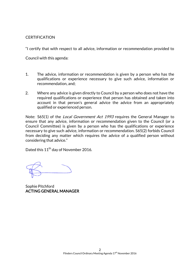# **CERTIFICATION**

"I certify that with respect to all advice, information or recommendation provided to

Council with this agenda:

- 1. The advice, information or recommendation is given by a person who has the qualifications or experience necessary to give such advice, information or recommendation, and;
- 2. Where any advice is given directly to Council by a person who does not have the required qualifications or experience that person has obtained and taken into account in that person's general advice the advice from an appropriately qualified or experienced person.

Note: S65(1) of the *Local Government Act 1993* requires the General Manager to ensure that any advice, information or recommendation given to the Council (or a Council Committee) is given by a person who has the qualifications or experience necessary to give such advice, information or recommendation. S65(2) forbids Council from deciding any matter which requires the advice of a qualified person without considering that advice."

Dated this 11<sup>th</sup> day of November 2016.

Sophie Pitchford ACTING GENERAL MANAGER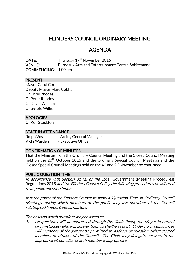# FLINDERS COUNCIL ORDINARY MEETING

# AGENDA

| DATE:                      | Thursday 17 <sup>th</sup> November 2016                  |
|----------------------------|----------------------------------------------------------|
| <b>VENUE:</b>              | <b>Furneaux Arts and Entertainment Centre, Whitemark</b> |
| <b>COMMENCING:</b> 1.00 pm |                                                          |

#### PRESENT

Mayor Carol Cox Deputy Mayor Marc Cobham Cr Chris Rhodes Cr Peter Rhodes Cr David Williams Cr Gerald Willis

# APOLOGIES

Cr Ken Stockton

#### STAFF IN ATTENDANCE

Rolph Vos - Acting General Manager Vicki Warden - Executive Officer

#### CONFIRMATION OF MINUTES

That the Minutes from the Ordinary Council Meeting and the Closed Council Meeting held on the 20<sup>th</sup> October 2016 and the Ordinary Special Council Meetings and the Closed Special Council Meetings held on the  $4<sup>th</sup>$  and  $9<sup>th</sup>$  November be confirmed.

#### PUBLIC QUESTION TIME

In accordance with Section 31 (1) of the Local Government (Meeting Procedures) Regulations 2015 and the Flinders Council Policy the following procedures be adhered to at public question time:-

It is the policy of the Flinders Council to allow a 'Question Time' at Ordinary Council Meetings, during which members of the public may ask questions of the Council relating to Flinders Council matters.

The basis on which questions may be asked is:

1. All questions will be addressed through the Chair (being the Mayor in normal circumstances) who will answer them as she/he sees fit. Under no circumstances will members of the gallery be permitted to address or question either elected members or officers of the Council. The Chair may delegate answers to the appropriate Councillor or staff member if appropriate.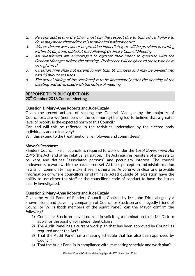- 2. Persons addressing the Chair must pay the respect due to that office. Failure to do so may mean their address is terminated without notice.
- 3. Where the answer cannot be provided immediately, it will be provided in writing within 14 days and tabled at the following Ordinary Council Meeting.
- 4. All questioners are encouraged to register their intent to question with the General Manager before the meeting. Preference will be given to those who have so registered.
- 5. Question time shall not extend longer than 30 minutes and may be divided into two 15 minute sessions.
- 6. The actual timing of the session(s) is to be immediately after the opening of the meeting and advertised with the notice of meeting.

### RESPONSE TO PUBLIC QUESTIONS 20<sup>th</sup> October 2016 Council Meeting

# Question 1: Mary-Anne Roberts and Jude Cazaly

Given the recent actions of sacking the General Manager by the majority of Councillors, are we (members of the community) being led to believe that a greater level of probity is the expected norm of this Council?

Can and will this be reflected in the activities undertaken by the elected body individually and collectively?

Will this extend to the treatment of all employees and committees?

# Mayor's Response:

Flinders Council, like all councils, is required to work under the *Local Government Act* 1993 (the Act) and other relative legislation. The Act requires registers of interests to be kept and defines "associated persons" and pecuniary interest. The council endeavours to work within the parameters set. At times perception and misinformation in a small community may make it seem otherwise. Anyone with clear and provable information of where councillors or staff have acted outside of legislation have the ability to use either the staff or the councillor's code of conduct to have the issues clearly investigated.

# Question 2: Mary-Anne Roberts and Jude Cazaly

Given the Audit Panel of Flinders Council is Chaired by Mr John Dick, allegedly a known friend and travelling companion of Councillor Stockton and allegedly friend of Councillor Willis (both members of the Audit Panel), can the Mayor confirm the following?

- 1) Councillor Stockton played no role in soliciting a nomination from Mr Dick to apply for the position of independent Chair?
- 2) The Audit Panel has a current work plan that has been approved by Council as required under the Act?
- 3) That the Audit Panel has a meeting schedule that has also been approved by Council?
- 4) That the Audit Panel is in compliance with its meeting schedule and work plan?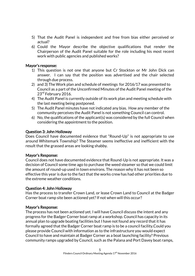- 5) That the Audit Panel is independent and free from bias either perceived or actual?
- 6) Could the Mayor describe the objective qualifications that render the Chairperson of the Audit Panel suitable for the role including his most recent work with public agencies and published works?

#### Mayor's response:

- 1) This question is not one that anyone but Cr Stockton or Mr John Dick can answer. I can say that the position was advertised and the chair selected through due process.
- 2) and 3) The Work plan and schedule of meetings for 2016/17 was presented to Council as a part of the Unconfirmed Minutes of the Audit Panel meeting of the 23<sup>rd</sup> February 2016.
- 4) The Audit Panel is currently outside of its work plan and meeting schedule with the last meeting being postponed.
- 5) The Audit Panel minutes have not indicated any bias. How any member of the community perceives the Audit Panel is not something Council can control.
- 6) No, the qualifications of the applicant(s) was considered by the full Council when considering the appointment to the position.

#### Question 3: John Holloway

Does Council have documented evidence that "Round-Up" is not appropriate to use around Whitemark Township? The Steamer seems ineffective and inefficient with the result that the grassed areas are looking shabby.

# Mayor's Response:

Council does not have documented evidence that Round-Up is not appropriate. It was a decision of Council some time ago to purchase the weed steamer so that we could limit the amount of round-up used in town environs. The reason why it has not been so effective this year is due to the fact that the works crew has had other priorities due to the extreme weather conditions.

#### Question 4: John Holloway

Has the process to transfer Crown Land, or lease Crown Land to Council at the Badger Corner boat ramp site been actioned yet? If not when will this occur?

#### Mayor's Response:

The process has not been actioned yet. I will have Council discuss the intent and any progress for the Badger Corner boat ramp at a workshop. Council has capacity in its annual plan to upgrade boating facilities but I have not found any record that it has formally agreed that the Badger Corner boat ramp is to be a council facility.Could you please provide Council with information as to the infrastructure you would expect Council to have and maintain at Badger Corner as a boat launching facility? Previous community ramps upgraded by Council, such as the Palana and Port Davey boat ramps,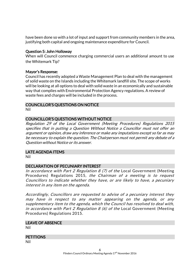have been done so with a lot of input and support from community members in the area, justifying both capital and ongoing maintenance expenditure for Council.

### Question 5: John Holloway

When will Council commence charging commercial users an additional amount to use the Whitemark Tip?

#### Mayor's Response:

Council has recently adopted a Waste Management Plan to deal with the management of solid waste on the Islands including the Whitemark landfill site. The scope of works will be looking at all options to deal with solid waste in an economically and sustainable way that complies with Environmental Protection Agency regulations. A review of waste fees and charges will be included in the process.

# COUNCILLOR'S QUESTIONS ON NOTICE

Nil

# COUNCILLOR'S QUESTIONS WITHOUT NOTICE

Regulation 29 of the Local Government (Meeting Procedures) Regulations 2015 specifies that in putting a Question Without Notice a Councillor must not offer an argument or opinion, draw any inference or make any imputations except so far as may be necessary to explain the question. The Chairperson must not permit any debate of a Question without Notice or its answer.

# LATE AGENDA ITEMS

Nil

# DECLARATION OF PECUNIARY INTEREST

In accordance with Part 2 Regulation 8 (7) of the Local Government (Meeting Procedures) Regulations 2015, the Chairman of a meeting is to request Councillors to indicate whether they have, or are likely to have, a pecuniary interest in any item on the agenda.

Accordingly, Councillors are requested to advise of a pecuniary interest they may have in respect to any matter appearing on the agenda, or any supplementary item to the agenda, which the Council has resolved to deal with, in accordance with Part 2 Regulation  $8$  (6) of the Local Government (Meeting Procedures) Regulations 2015.

#### LEAVE OF ABSENCE

Nil

# **PETITIONS**

Nil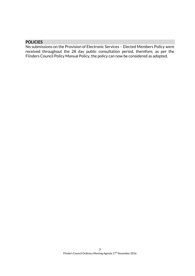# **POLICIES**

No submissions on the Provision of Electronic Services – Elected Members Policy were received throughout the 28 day public consultation period, therefore, as per the Flinders Council Policy Manual Policy, the policy can now be considered as adopted.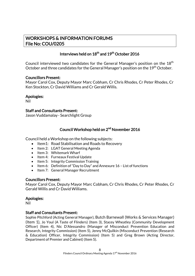# WORKSHOPS & INFORMATION FORUMS File No: COU/0205

# Interviews held on  $18^{th}$  and  $19^{th}$  October 2016

Council interviewed two candidates for the General Manager's position on the 18<sup>th</sup> October and three candidates for the General Manager's position on the 19<sup>th</sup> October.

#### Councillors Present:

Mayor Carol Cox, Deputy Mayor Marc Cobham, Cr Chris Rhodes, Cr Peter Rhodes, Cr Ken Stockton, Cr David Williams and Cr Gerald Willis.

#### Apologies:

Nil

#### Staff and Consultants Present:

Jason Vuddamalay- Searchlight Group

# Council Workshop held on 2<sup>nd</sup> November 2016

Council held a Workshop on the following subjects:

- Item1: Road Stabilisation and Roads to Recovery
- Item 2: LGAT General Meeting Agenda
- Item 3: Whitemark Wharf
- Item 4: Furneaux Festival Update
- Item 5: Integrity Commission Training
- Item 6: Definition of "Day to Day" and Annexure 16 List of functions
- Item 7: General Manager Recruitment

#### Councillors Present:

Mayor Carol Cox, Deputy Mayor Marc Cobham, Cr Chris Rhodes, Cr Peter Rhodes, Cr Gerald Willis and Cr David Williams.

# Apologies:

Nil

# Staff and Consultants Present:

Sophie Pitchford (Acting General Manager), Butch Barnewall (Works & Services Manager) (Item 1), Jo Youl (A Taste of Flinders) (Item 3), Stacey Wheatley (Community Development Officer) (Item 4), Nic D'Alessandro (Manager of Misconduct Prevention Education and Research, Integrity Commission) (Item 5), Jenny McQuilkin (Misconduct Prevention (Research & Education) Officer, Integrity Commission) (Item 5) and Greg Brown (Acting Director, Department of Premier and Cabinet) (Item 5).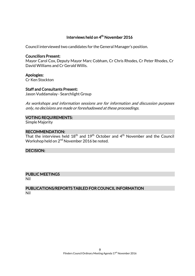# Interviews held on 4<sup>th</sup> November 2016

Council interviewed two candidates for the General Manager's position.

#### Councillors Present:

Mayor Carol Cox, Deputy Mayor Marc Cobham, Cr Chris Rhodes, Cr Peter Rhodes, Cr David Williams and Cr Gerald Willis.

Apologies:

Cr Ken Stockton

# Staff and Consultants Present:

Jason Vuddamalay- Searchlight Group

As workshops and information sessions are for information and discussion purposes only, no decisions are made or foreshadowed at these proceedings.

#### VOTING REQUIREMENTS:

Simple Majority

### RECOMMENDATION:

That the interviews held  $18<sup>th</sup>$  and  $19<sup>th</sup>$  October and  $4<sup>th</sup>$  November and the Council Workshop held on 2<sup>nd</sup> November 2016 be noted.

#### DECISION:

# PUBLIC MEETINGS

Nil

# PUBLICATIONS/REPORTS TABLED FOR COUNCIL INFORMATION Nil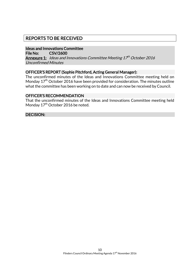# REPORTS TO BE RECEIVED

# Ideas and Innovations Committee

File No: CSV/2600

**Annexure 1:** Ideas and Innovations Committee Meeting 17<sup>th</sup> October 2016 Unconfirmed Minutes

# OFFICER'S REPORT (Sophie Pitchford, Acting General Manager):

The unconfirmed minutes of the Ideas and Innovations Committee meeting held on Monday 17<sup>th</sup> October 2016 have been provided for consideration. The minutes outline what the committee has been working on to date and can now be received by Council.

#### OFFICER'S RECOMMENDATION

That the unconfirmed minutes of the Ideas and Innovations Committee meeting held Monday 17<sup>th</sup> October 2016 be noted.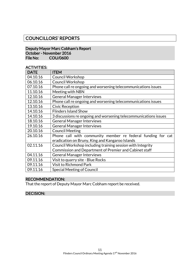# COUNCILLORS' REPORTS

# Deputy Mayor Marc Cobham's Report October - November 2016 File No: COU/0600

#### ACTIVITIES:

| <b>DATE</b> | <b>ITEM</b>                                                      |
|-------------|------------------------------------------------------------------|
| 04.10.16    | <b>Council Workshop</b>                                          |
| 06.10.16    | <b>Council Workshop</b>                                          |
| 07.10.16    | Phone call re ongoing and worsening telecommunications issues    |
| 11.10.16    | Meeting with NBN                                                 |
| 12.10.16    | <b>General Manager Interviews</b>                                |
| 12.10.16    | Phone call re ongoing and worsening telecommunications issues    |
| 13.10.16    | <b>Civic Reception</b>                                           |
| 14.10.16    | <b>Flinders Island Show</b>                                      |
| 14.10.16    | 3 discussions re ongoing and worsening telecommunications issues |
| 18.10.16    | <b>General Manager Interviews</b>                                |
| 19.10.16    | <b>General Manager Interviews</b>                                |
| 20.10.16    | <b>Council Meeting</b>                                           |
| 26.10.16    | Phone call with community member re federal funding for cat      |
|             | eradication on Bruny, King and Kangaroo Islands                  |
| 02.11.16    | Council Workshop including training session with Integrity       |
|             | Commission and Department of Premier and Cabinet staff           |
| 04.11.16    | <b>General Manager Interviews</b>                                |
| 09.11.16    | Visit to quarry site - Blue Rocks                                |
| 09.11.16    | <b>Visit to Richmond Park</b>                                    |
| 09.11.16    | <b>Special Meeting of Council</b>                                |

# RECOMMENDATION:

That the report of Deputy Mayor Marc Cobham report be received.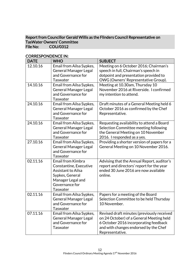### Report from Councillor Gerald Willis as the Flinders Council Representative on TasWater Owners' Committee<br>File No: COU/0312 COU/0312

| <b>DATE</b> | <b>WHO</b>                                                                                                                                            | <b>SUBJECT</b>                                                                                                                                                                              |
|-------------|-------------------------------------------------------------------------------------------------------------------------------------------------------|---------------------------------------------------------------------------------------------------------------------------------------------------------------------------------------------|
| 12.10.16    | Email from Ailsa Sypkes,<br><b>General Manager Legal</b><br>and Governance for<br>Taswater                                                            | Meeting on 6 October 2016; Chairman's<br>speech in full, Chairman's speech in<br>dotpoint and presentation provided to                                                                      |
| 14.10.16    | Email from Ailsa Sypkes,<br><b>General Manager Legal</b><br>and Governance for<br><b>Taswater</b>                                                     | OWG (Owners' Representative Group).<br>Meeting at 10.30am, Thursday 10<br>November 2016 at Riverside. I confirmed<br>my intention to attend.                                                |
| 24.10.16    | Email from Ailsa Sypkes,<br><b>General Manager Legal</b><br>and Governance for<br>Taswater                                                            | Draft minutes of a General Meeting held 6<br>October 2016 as confirmed by the Chef<br>Representative.                                                                                       |
| 24.10.16    | Email from Ailsa Sypkes,<br><b>General Manager Legal</b><br>and Governance for<br>Taswater                                                            | Requesting availability to attend a Board<br>Selection Committee meeting following<br>the General Meeting on 10 November<br>2016. I responded as a yes.                                     |
| 27.10.16    | Email from Ailsa Sypkes,<br><b>General Manager Legal</b><br>and Governance for<br>Taswater                                                            | Providing a shorter version of papers for a<br>General Meeting on 10 November 2016.                                                                                                         |
| 02.11.16    | <b>Email from Kimbra</b><br>Constantine, Executive<br><b>Assistant to Ailsa</b><br>Sypkes, General<br>Manager Legal and<br>Governance for<br>Taswater | Advising that the Annual Report, auditor's<br>report and directors' report for the year<br>ended 30 June 2016 are now available<br>online.                                                  |
| 02.11.16    | Email from Ailsa Sypkes,<br><b>General Manager Legal</b><br>and Governance for<br>Taswater                                                            | Papers for a meeting of the Board<br>Selection Committee to be held Thursday<br>10 November.                                                                                                |
| 07.11.16    | Email from Ailsa Sypkes,<br><b>General Manager Legal</b><br>and Governance for<br><b>Taswater</b>                                                     | Revised draft minutes (previously received<br>on 24 October) of a General Meeting held<br>6 October 2016 incorporating feedback<br>and with changes endorsed by the Chef<br>Representative. |

# CORRESPONDENCE IN: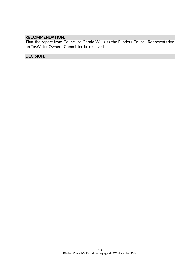# RECOMMENDATION:

That the report from Councillor Gerald Willis as the Flinders Council Representative on TasWater Owners' Committee be received.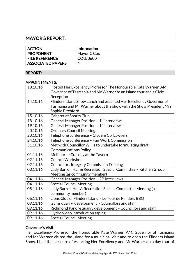# MAYOR'S REPORT:

| <b>ACTION</b>            | <b>Information</b> |
|--------------------------|--------------------|
| <b>PROPONENT</b>         | Mayor C Cox        |
| <b>FILE REFERENCE</b>    | COU/0600           |
| <b>ASSOCIATED PAPERS</b> | Nil                |

# REPORT:

#### APPOINTMENTS:

| 13.10.16 | Hosted Her Excellency Professor The Honourable Kate Warner, AM,    |
|----------|--------------------------------------------------------------------|
|          | Governor of Tasmania and Mr Warner to an Island tour and a Civic   |
|          | Reception                                                          |
| 14.10.16 | Flinders Island Show Lunch and escorted Her Excellency Governor of |
|          | Tasmania and Mr Warner about the show with the Show President Mrs  |
|          | Sophie Pitchford                                                   |
| 15.10.16 | Cabaret at Sports Club                                             |
| 18.10.16 | General Manager Position - 1 <sup>st</sup> interviews              |
| 19.10.16 | General Manager Position - $1st$ interviews                        |
| 20.10.16 | <b>Ordinary Council Meeting</b>                                    |
| 20.10.16 | Telephone conference - Clyde & Co Lawyers                          |
| 24.10.16 | Telephone conference - Fair Work Commission                        |
| 31.10.16 | Met with Councillor Willis to undertake formulating draft          |
|          | <b>Communications Policy</b>                                       |
| 01.11.16 | Melbourne Cup day at the Tavern                                    |
| 02.11.16 | <b>Council Workshop</b>                                            |
| 02.11.16 | <b>Councillors Integrity Commission Training</b>                   |
| 03.11.16 | Lady Barron Hall & Recreation Special Committee - Kitchen Group    |
|          | Meeting (as community member)                                      |
| 04.11.16 | General Manager Position - 2 <sup>nd</sup> interviews              |
| 04.11.16 | <b>Special Council Meeting</b>                                     |
| 05.11.16 | Lady Barron Hall & Recreation Special Committee Meeting (as        |
|          | community member)                                                  |
| 06.11.16 | Lions Club of Flinders Island - Le Tour de Flinders BBQ            |
| 09.11.16 | Gums quarry development - Councillors and staff                    |
| 09.11.16 | Richmond Park re quarry development - Councillors and staff        |
| 09.11.16 | Hydro video introduction taping                                    |
| 09.11.16 | <b>Special Council Meeting</b>                                     |

# Governor's Visit:

Her Excellency Professor the Honourable Kate Warner, AM, Governor of Tasmania and Mr Warner visited the Island for a municipal visit and to open the Flinders Island Show. I had the pleasure of escorting Her Excellency and Mr Warner on a day tour of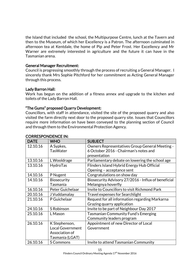the Island that included the school, the Multipurpose Centre, lunch at the Tavern and then to the Museum, of which her Excellency is a Patron. The afternoon culminated in afternoon tea at Kentdale, the home of Pip and Peter Frost. Her Excellency and Mr Warner are extremely interested in agriculture and the future it can have in the Tasmanian arena.

### General Manager Recruitment:

Council is progressing smoothly through the process of recruiting a General Manager. I sincerely thank Mrs Sophie Pitchford for her commitment as Acting General Manager through this process.

#### Lady Barron Hall:

Work has begun on the addition of a fitness annex and upgrade to the kitchen and toilets of the Lady Barron Hall.

# "The Gums" proposed Quarry Development:

Councillors, with staff in attendance, visited the site of the proposed quarry and also visited the farm directly next door to the proposed quarry site. Issues that Councillors require more information on have been conveyed to the planning section of Council and through them to the Environmental Protection Agency.

| <b>DATE</b> | <b>WHO</b>         | <b>SUBJECT</b>                                      |
|-------------|--------------------|-----------------------------------------------------|
| 12.10.16    | A Sypkes,          | Owners Representatives Group General Meeting -      |
|             | <b>TasWater</b>    | 6 October 2016 - Chairman's notes and               |
|             |                    | presentation                                        |
| 13.10.16    | L Wooldrage        | Parliamentary debate on lowering the school age     |
| 13.10.16    | HydroTas           | Flinders Island Hybrid Energy Hub Official          |
|             |                    | Opening - acceptance sent                           |
| 14.10.16    | P Nugent           | Congratulations on show day                         |
| 14.10.16    | <b>Biosecurity</b> | Biosecurity Advisory 27/2016 - Influx of beneficial |
|             | Tasmania           | Melangnya hoverfly                                  |
| 16.10.16    | Peter Guichelaar   | Invite to Councillors to visit Richmond Park        |
| 20.10.16    | J Vuddamalay       | <b>Travel expenses for Searchlight</b>              |
| 21.10.16    | P Guichelaar       | Request for all information regarding Markarna      |
|             |                    | Grazing quarry application                          |
| 24.10.16    | S Robinson         | Invite to be part of Neighbour Day 2017             |
| 25.10.16    | L Mason            | Tasmanian Community Fund's Emerging                 |
|             |                    | Community leaders program                           |
| 26.10.16    | K Stephenson,      | Appointment of new Director of Local                |
|             | Local Government   | Government                                          |
|             | Association of     |                                                     |
|             | Tasmania (LGAT)    |                                                     |
| 26.10.16    | <b>S Commons</b>   | Invite to attend Tasmanian Community                |

# CORRESPONDENCE IN: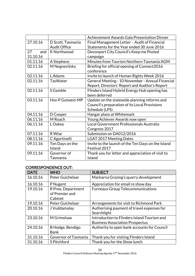|           |                     | Achievement Awards Gala Presentation Dinner        |
|-----------|---------------------|----------------------------------------------------|
| 27.10.16  | D Scott, Tasmania   | Final Management Letter - Audit of Financial       |
|           | <b>Audit Office</b> | Statements for the Year ended 30 June 2016         |
| 27<br>and | K Northwood         | Devonport City Council's Keep me Posted            |
| 31.10.16  |                     | campaign                                           |
| 01.11.16  | A Stephens          | Minutes from Tourism Northern Tasmania AGM         |
| 02.11.16  | M Negnevitsky       | Briefing for official opening of Connect2016       |
|           |                     | conference                                         |
| 02.11.16  | L Adams             | Invite to launch of Human Rights Week 2016         |
| 02.11.16  | <b>TasWater</b>     | General Meeting - 10 November - Annual Financial   |
|           |                     | Report, Directors' Report and Auditor's Report     |
| 02.11.16  | S Gamble            | Flinders Island Hybrid Energy Hub opening has      |
|           |                     | been deferred                                      |
| 03.11.16  | Hon P Gutwein MP    | Update on the statewide planning reforms and       |
|           |                     | Council's preparation of its Local Provisions      |
|           |                     | Schedule (LPS)                                     |
| 04.11.16  | D Cooper            | Hangar plans at Whitemark                          |
| 06.11.16  | M Roach             | Young Achiever Awards now open                     |
| 06.11.16  | L Oakey             | Local Government Professionals Australia           |
|           |                     | Congress 2017                                      |
| 07.11.16  | R Wise              | Submission on DA012/2016                           |
| 08.11.16  | C Agortinelli       | <b>LGAT 2017 Meeting Dates</b>                     |
| 09.11.16  | Ten Days on the     | Invite to the launch of the Ten Days on the Island |
|           | Island              | Festival 2017                                      |
| 09.11.16  | Governor of         | Thank you for letter and appreciation of visit to  |
|           | Tasmania            | Island                                             |

# CORRESPONDENCE OUT:

| <b>DATE</b> | <b>WHO</b>                                      | <b>SUBJECT</b>                                                                        |
|-------------|-------------------------------------------------|---------------------------------------------------------------------------------------|
| 16.10.16    | Peter Guichelaar                                | Markarna Grazing's quarry development                                                 |
| 16.10.16    | P Nugent                                        | Appreciation for email re show day                                                    |
| 19.10.16    | R Pree, Department<br>of Premier and<br>Cabinet | <b>Furneaux Group Telecommunications</b>                                              |
| 19.10.16    | Peter Guichelaar                                | Arrangements for visit to Richmond Park                                               |
| 20.10.16    | J Vuddamalay                                    | Authorising payment of travel expenses for<br>Searchlight                             |
| 23.10.16    | M Grimshaw                                      | Introduction to Flinders Island Tourism and<br><b>Business Association Prospectus</b> |
| 24.10.16    | B Hodge, Bendigo<br><b>Bank</b>                 | Authority to open bank accounts for Council                                           |
| 31.10.16    | Governor of Tasmania                            | Thank you for visiting Flinders Island                                                |
| 31.10.16    | S Pitchford                                     | Thank you for the Show lunch                                                          |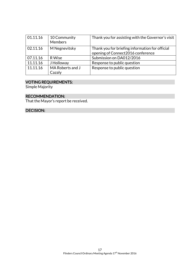| 01.11.16 | 10 Community<br><b>Members</b> | Thank you for assisting with the Governor's visit                                    |
|----------|--------------------------------|--------------------------------------------------------------------------------------|
| 02.11.16 | M Negnevitsky                  | Thank you for briefing information for official<br>opening of Connect2016 conference |
| 07.11.16 | R Wise                         | Submission on DA012/2016                                                             |
| 11.11.16 | J Holloway                     | Response to public question                                                          |
| 11.11.16 | MA Roberts and J               | Response to public question                                                          |
|          | Cazaly                         |                                                                                      |

#### VOTING REQUIREMENTS:

Simple Majority

# RECOMMENDATION:

That the Mayor's report be received.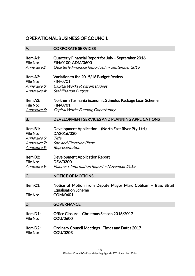# OPERATIONAL BUSINESS OF COUNCIL

# A. CORPORATE SERVICES

| Item A1:             | Quarterly Financial Report for July - September 2016                                                          |
|----------------------|---------------------------------------------------------------------------------------------------------------|
| File No:             | FIN/0100, ADM/0600                                                                                            |
| <u>Annexure 2:</u>   | Quarterly Financial Report July - September 2016                                                              |
| Item A2:             | Variation to the 2015/16 Budget Review                                                                        |
| File No:             | FIN/0701                                                                                                      |
| <u>Annexure 3:</u>   | Capital Works Program Budget                                                                                  |
| <u>Annexure 4:</u>   | <b>Stabilisation Budget</b>                                                                                   |
| Item A3:             | Northern Tasmania Economic Stimulus Package Loan Scheme                                                       |
| File No:             | <b>FIN/0701</b>                                                                                               |
| <i>Annexure 5:</i>   | Capital Works Funding Opportunity                                                                             |
| <b>B.</b>            | DEVELOPMENT SERVICES AND PLANNING APPLICATIONS                                                                |
| Item B1:             | Development Application – (North East River Pty. Ltd.)                                                        |
| File No:             | DA2016/030                                                                                                    |
| Annexure 6:          | Title                                                                                                         |
| <u>Annexure 7:</u>   | <b>Site and Elevation Plans</b>                                                                               |
| <u>Annexure 8:</u>   | Representation                                                                                                |
| Item B2:             | <b>Development Application Report</b>                                                                         |
| File No:             | <b>DSV/0300</b>                                                                                               |
| <u>Annexure 9:</u>   | Planner's Information Report - November 2016                                                                  |
| C.                   | <b>NOTICE OF MOTIONS</b>                                                                                      |
| Item C1:<br>File No: | Notice of Motion from Deputy Mayor Marc Cobham - Bass Strait<br><b>Equalisation Scheme</b><br><b>COM/0401</b> |
| D.                   | <b>GOVERNANCE</b>                                                                                             |
| Item D1:             | Office Closure - Christmas Season 2016/2017                                                                   |
| File No:             | <b>COU/0600</b>                                                                                               |
| Item D2:             | <b>Ordinary Council Meetings - Times and Dates 2017</b>                                                       |
| File No:             | <b>COU/0203</b>                                                                                               |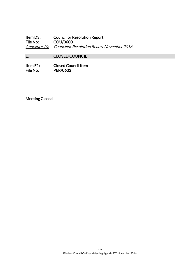Item D3: Councillor Resolution Report<br>File No: COU/0600 COU/0600 Annexure 10: Councillor Resolution Report November 2016

# E. CLOSED COUNCIL

Item E1: Closed Council Item<br>File No: PER/0602 PER/0602

Meeting Closed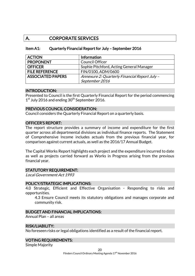# A. CORPORATE SERVICES

#### Item A1: Quarterly Financial Report for July – September 2016

| <b>ACTION</b>            | Information                                   |
|--------------------------|-----------------------------------------------|
| <b>PROPONENT</b>         | <b>Council Officer</b>                        |
| <b>OFFICER</b>           | Sophie Pitchford, Acting General Manager      |
| <b>FILE REFERENCE</b>    | FIN/0100, ADM/0600                            |
| <b>ASSOCIATED PAPERS</b> | Annexure 2: Quarterly Financial Report July - |
|                          | September 2016                                |

#### INTRODUCTION:

Presented to Council is the first Quarterly Financial Report for the period commencing 1<sup>st</sup> July 2016 and ending 30<sup>th</sup> September 2016.

#### PREVIOUS COUNCIL CONSIDERATION:

Council considers the Quarterly Financial Report on a quarterly basis.

#### OFFICER'S REPORT:

The report structure provides a summary of income and expenditure for the first quarter across all departmental divisions as individual finance reports. The Statement of Comprehensive Income includes actuals from the previous financial year, for comparison against current actuals, as well as the 2016/17 Annual Budget.

The Capital Works Report highlights each project and the expenditure incurred to date as well as projects carried forward as Works in Progress arising from the previous financial year.

#### STATUTORY REQUIREMENT:

Local Government Act 1993

#### POLICY/STRATEGIC IMPLICATIONS:

4.0 Strategic, Efficient and Effective Organisation - Responding to risks and opportunities.

4.3 Ensure Council meets its statutory obligations and manages corporate and community risk.

# BUDGET AND FINANCIAL IMPLICATIONS:

Annual Plan – all areas

#### RISK/LIABILITY:

No foreseen risks or legal obligations identified as a result of the financial report.

# VOTING REQUIREMENTS:

Simple Majority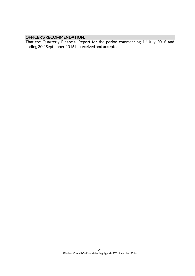#### OFFICER'S RECOMMENDATION:

That the Quarterly Financial Report for the period commencing  $1^\mathrm{st}$  July 2016 and ending 30<sup>th</sup> September 2016 be received and accepted.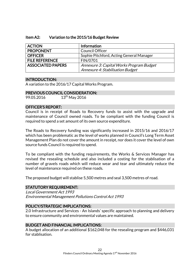#### Item A2: Variation to the 2015/16 Budget Review

| <b>ACTION</b>            | Information                              |
|--------------------------|------------------------------------------|
| <b>PROPONENT</b>         | <b>Council Officer</b>                   |
| <b>OFFICER</b>           | Sophie Pitchford, Acting General Manager |
| <b>FILE REFERENCE</b>    | FIN/0701                                 |
| <b>ASSOCIATED PAPERS</b> | Annexure 3: Capital Works Program Budget |
|                          | Annexure 4: Stabilisation Budget         |

#### INTRODUCTION:

A variation to the 2016/17 Capital Works Program.

### PREVIOUS COUNCIL CONSIDERATION:

99.05.2016 13<sup>th</sup> May 2016

#### OFFICER'S REPORT:

Council is in receipt of Roads to Recovery funds to assist with the upgrade and maintenance of Council owned roads. To be compliant with the funding Council is required to spend a set amount of its own source expenditure.

The Roads to Recovery funding was significantly increased in 2015/16 and 2016/17 which has been problematic as the level of works planned in Council's Long Term Asset Management Plan do not cover the amount in receipt, nor does it cover the level of own source funds Council is required to spend.

To be compliant with the funding requirements, the Works & Services Manager has revised the resealing schedule and also included a costing for the stablisation of a number of gravels roads which will reduce wear and tear and ultimately reduce the level of maintenance required on these roads.

The proposed budget will stablise 5,500 metres and seal 3,500 metres of road.

#### STATUTORY REQUIREMENT:

Local Government Act 1993 Environmental Management Pollutions Control Act 1993

# POLICY/STRATEGIC IMPLICATIONS:

2.0 Infrastructure and Services - An Islands' specific approach to planning and delivery to ensure community and environmental values are maintained.

#### BUDGET AND FINANCIAL IMPLICATIONS:

A budget allocation of an additional \$162,048 for the resealing program and \$446,031 for stablisation.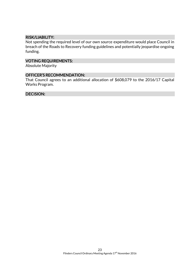#### RISK/LIABILITY:

Not spending the required level of our own source expenditure would place Council in breach of the Roads to Recovery funding guidelines and potentially jeopardise ongoing funding.

# VOTING REQUIREMENTS:

Absolute Majority

#### OFFICER'S RECOMMENDATION:

That Council agrees to an additional allocation of \$608,079 to the 2016/17 Capital Works Program.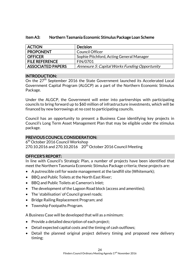| <b>ACTION</b>            | <b>Decision</b>                               |
|--------------------------|-----------------------------------------------|
| <b>PROPONENT</b>         | Council Officer                               |
| <b>OFFICER</b>           | Sophie Pitchford, Acting General Manager      |
| <b>FILE REFERENCE</b>    | FIN/0701                                      |
| <b>ASSOCIATED PAPERS</b> | Annexure 5: Capital Works Funding Opportunity |

# Item A3: Northern Tasmania Economic Stimulus Package Loan Scheme

#### INTRODUCTION:

On the 27<sup>th</sup> September 2016 the State Government launched its Accelerated Local Government Capital Program (ALGCP) as a part of the Northern Economic Stimulus Package.

Under the ALGCP, the Government will enter into partnerships with participating councils to bring forward up to \$60 million of infrastructure investments, which will be financed by new borrowings at no cost to participating councils.

Council has an opportunity to present a Business Case identifying key projects in Council's Long Term Asset Management Plan that may be eligible under the stimulus package.

# PREVIOUS COUNCIL CONSIDERATION:

6<sup>th</sup> October 2016 Council Workshop 270.10.2016 and 270.10.2016 20<sup>th</sup> October 2016 Council Meeting

# OFFICER'S REPORT:

In line with Council's Strategic Plan, a number of projects have been identified that meet the Northern Tasmania Economic Stimulus Package criteria; these projects are:

- A putrescible cell for waste management at the landfill site (Whitemark);
- BBQ and Public Toilets at the North East River;
- BBQ and Public Toilets at Cameron's Inlet;
- The development of the Lagoon Road block (access and amenities);
- The 'stabilisation' of Council gravel roads;
- Bridge Railing Replacement Program; and
- Township Footpaths Program.

A Business Case will be developed that will as a minimum:

- Provide a detailed description of each project;
- Detail expected capital costs and the timing of cash outflows;
- Detail the planned original project delivery timing and proposed new delivery timing;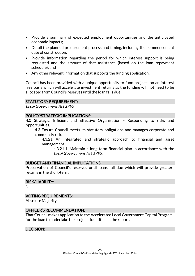- Provide a summary of expected employment opportunities and the anticipated economic impacts;
- Detail the planned procurement process and timing, including the commencement date of construction;
- Provide information regarding the period for which interest support is being requested and the amount of that assistance (based on the loan repayment schedule); and
- Any other relevant information that supports the funding application.

Council has been provided with a unique opportunity to fund projects on an interest free basis which will accelerate investment returns as the funding will not need to be allocated from Council's reserves until the loan falls due.

# STATUTORY REQUIREMENT:

Local Government Act 1993

#### POLICY/STRATEGIC IMPLICATIONS:

4.0 Strategic, Efficient and Effective Organisation - Responding to risks and opportunities.

4.3 Ensure Council meets its statutory obligations and manages corporate and community risk.

4.3.21 An integrated and strategic approach to financial and asset management.

4.3.21.1. Maintain a long-term financial plan in accordance with the Local Government Act 1993.

#### BUDGET AND FINANCIAL IMPLICATIONS:

Preservation of Council's reserves until loans fall due which will provide greater returns in the short-term.

#### RISK/LIABILITY:

Nil

# VOTING REQUIREMENTS:

Absolute Majority

#### OFFICER'S RECOMMENDATION:

That Council makes application to the Accelerated Local Government Capital Program for the loan to undertake the projects identified in the report.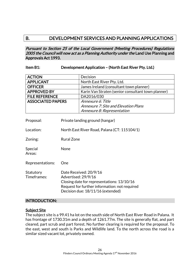# B. DEVELOPMENT SERVICES AND PLANNING APPLICATIONS

Pursuant to Section 25 of the Local Government (Meeting Procedures) Regulations 2005 the Council will now act as a Planning Authority under the Land Use Planning and Approvals Act 1993.

### Item B1: Development Application – (North East River Pty. Ltd.)

| <b>ACTION</b>            | Decision                                           |
|--------------------------|----------------------------------------------------|
| <b>APPLICANT</b>         | North East River Pty. Ltd.                         |
| <b>OFFICER</b>           | James Ireland (consultant town planner)            |
| <b>APPROVED BY</b>       | Karin Van Straten (senior consultant town planner) |
| <b>FILE REFERENCE</b>    | DA2016/030                                         |
| <b>ASSOCIATED PAPERS</b> | Annexure 6: Title                                  |
|                          | <b>Annexure 7: Site and Elevation Plans</b>        |
|                          | Annexure 8: Representation                         |

| Proposal:                | Private landing ground (hangar)                                                                                                                                                   |  |
|--------------------------|-----------------------------------------------------------------------------------------------------------------------------------------------------------------------------------|--|
| Location:                | North East River Road, Palana (CT: 115104/1)                                                                                                                                      |  |
| Zoning:                  | Rural Zone                                                                                                                                                                        |  |
| Special<br>Areas:        | None                                                                                                                                                                              |  |
| Representations:         | One                                                                                                                                                                               |  |
| Statutory<br>Timeframes: | Date Received: 20/9/16<br>Advertised: 29/9/16<br>Closing date for representations: 13/10/16<br>Request for further information: not required<br>Decision due: 18/11/16 (extended) |  |

#### INTRODUCTION:

#### Subject Site

The subject site is a 99.41 ha lot on the south side of North East River Road in Palana. It has frontage of 1730.31m and a depth of 1261.77m. The site is generally flat, and part cleared, part scrub and part forest. No further clearing is required for the proposal. To the east, west and south is Parks and Wildlife land. To the north across the road is a similar sized vacant lot, privately owned.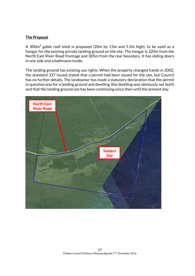# The Proposal

A 300 $\mathrm{m}^2$  gable roof shed is proposed (20m by 15m and 5.5m high), to be used as a hangar for the existing private landing ground on the site. The hangar is 220m from the North East River Road frontage and 305m from the rear boundary. It has sliding doors in one side and a bathroom inside.

The landing ground has existing use rights. When the property changed hands in 2002, the standard 337 issued stated that a permit had been issued for the site, but Council has no further details. The landowner has made a statutory declaration that the permit in question was for a landing ground and dwelling (the dwelling was obviously not built) and that the landing ground use has been continuing since then until the present day.

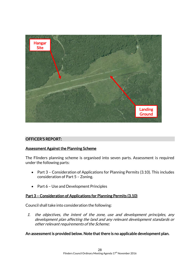

# OFFICER'S REPORT:

# Assessment Against the Planning Scheme

The Flinders planning scheme is organised into seven parts. Assessment is required under the following parts:

- Part 3 Consideration of Applications for Planning Permits (3.10). This includes consideration of Part 5 – Zoning.
- Part 6 Use and Development Principles

#### Part 3 – Consideration of Applications for Planning Permits (3.10)

Council shall take into consideration the following:

1. the objectives, the intent of the zone, use and development principles, any development plan affecting the land and any relevant development standards or other relevant requirements of the Scheme;

#### An assessment is provided below. Note that there is no applicable development plan.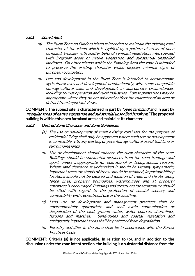# 5.8.1 Zone Intent

- (a) The Rural Zone on Flinders Island is intended to maintain the existing rural character of the island which is typified by a pattern of areas of open farmland, typically with shelter belts of remnant vegetation, interspersed with irregular areas of native vegetation and substantial unspoiled landform. On other islands within the Planning Area the zone is intended to preserve the existing character which displays minimal signs of European occupation.
- (b) Use and development in the Rural Zone is intended to accommodate agricultural uses and development predominantly, with some compatible non-agricultural uses and development in appropriate circumstances, including tourist operation and rural industries. Forest plantations may be appropriate where they do not adversely affect the character of an area or detract from important views.

COMMENT: The subject site is characterised in part by *'open farmland'* and in part by 'irregular areas of native vegetation and substantial unspoiled landform'. The proposed building is within this open farmland area and maintains its character.

#### 5.8.2 Desired Zone Character and Zone Guidelines

- (a) The use or development of small existing rural lots for the purpose of residential living shall only be approved where such use or development is compatible with any existing or potential agricultural use of that land or surrounding lands.
- (b) Use or development should enhance the rural character of the zone. Buildings should be substantial distances from the road frontage and apart, unless inappropriate for operational or topographical reasons. Where land clearance is undertaken it should be visually sympathetic; important trees (or stands of trees) should be retained, important hilltop locations should not be cleared and location of trees and shrubs along fence lines, property boundaries, watercourses and at property entrances is encouraged. Buildings and structures for aquaculture should be sited with regard to the protection of coastal scenery and compatibility with recreational use of the coastline.
- (c) Land use or development and management practices shall be environmentally appropriate and shall avoid contamination or despoliation of the land, ground water, water courses, shore-lines, lagoons and marshes. Sand-dunes and coastal vegetation and ecologically important areas shall be protected from degradation.
- (d) Forestry activities in the zone shall be in accordance with the Forest Practices Code

COMMENT: Criteria (a) is not applicable. In relation to (b), and in addition to the discussion under the zone intent section, the building is a substantial distance from the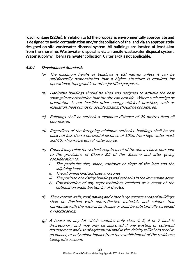road frontage (220m). In relation to (c) the proposal is environmentally appropriate and is designed to avoid contamination and/or despoliation of the land via an appropriately designed on-site wastewater disposal system. All buildings are located at least 4km from the shoreline. Wastewater disposal is via an onsite wastewater disposal system. Water supply will be via rainwater collection. Criteria (d) is not applicable.

# 5.8.4 Development Standards

- (a) The maximum height of buildings is 8.0 metres unless it can be satisfactorily demonstrated that a higher structure is required for operational, topographic or other justified purposes.
- (b) Habitable buildings should be sited and designed to achieve the best solar gain or orientation that the site can provide. Where such design or orientation is not feasible other energy efficient practices, such as insulation, heat pumps or double glazing, should be considered.
- (c) Buildings shall be setback a minimum distance of 20 metres from all boundaries.
- (d) Regardless of the foregoing minimum setbacks, buildings shall be set back not less than a horizontal distance of 100m from high water mark and 40 m from a perennial watercourse.
- (e) Council may relax the setback requirement of the above clause pursuant to the provisions of Clause 3.5 of this Scheme and after giving consideration to:
	- i. The particular size, shape, contours or slope of the land and the adjoining land;
	- ii. The adjoining land and uses and zones
	- iii. The position of existing buildings and setbacks in the immediate area;
	- iv. Consideration of any representations received as a result of the notification under Section 57 of the Act.
- (f) The external walls, roof, paving and other large surface areas of buildings shall be finished with non-reflective materials and colours that harmonise with the natural landscape or shall be substantially screened by landscaping.
- $(g)$  A house on any lot which contains only class 4, 5, 6 or 7 land is discretionary and may only be approved if any existing or potential development and use of agricultural land in the vicinity is likely to receive no impact, or only minor impact from the establishment of the residence taking into account: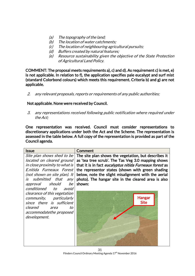- (a) The topography of the land;
- (b) The location of water catchments;
- (c) The location of neighbouring agricultural pursuits;
- (d) Buffers created by natural features;
- (e) Resource sustainability given the objective of the State Protection of Agricultural Land Policy.

COMMENT: The proposal meets requirements a), c) and d). As requirement c) is met, e) is not applicable. In relation to f), the application specifies pale eucalypt and surf mist (standard Colorbond colours) which meets this requirement. Criteria b) and g) are not applicable.

2. any relevant proposals, reports or requirements of any public authorities;

# Not applicable. None were received by Council.

3. any representations received following public notification where required under the Act;

One representation was received. Council must consider representations to discretionary applications under both the Act and the Scheme. The representation is assessed in the table below. A full copy of the representation is provided as part of the Council agenda.

| <b>Issue</b>                  | Comment                                                 |
|-------------------------------|---------------------------------------------------------|
| Site plan shows shed to be    | The site plan shows the vegetation, but describes it    |
| located on cleared ground     | as 'tea tree scrub'. The Tas Veg 3.0 mapping shows      |
| in close proximity to what is | that it is in fact eucalyptus nitida Furneaux forest as |
| E.nitida Furneaux Forest      | the representor states (shown with green shading        |
| (not shown on site plan). It  | below, note the slight misalignment with the aerial     |
| is submitted that any         | photo). The hangar site in the cleared area is also     |
| approval should be            | shown:                                                  |
| conditioned to<br>avoid       |                                                         |
| clearance of this vegetation  |                                                         |
| community, particularly       | <b>Hangar</b>                                           |
| since there is sufficient     | <b>Site</b>                                             |
| cleared<br>to<br>area         |                                                         |
| accommodatethe proposed       |                                                         |
| development.                  |                                                         |
|                               |                                                         |
|                               |                                                         |
|                               |                                                         |
|                               |                                                         |
|                               |                                                         |
|                               |                                                         |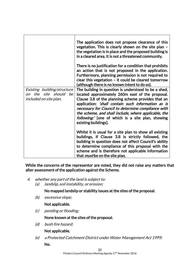|                                                                                       | The application does not propose clearance of this<br>vegetation. This is clearly shown on the site plan -<br>the vegetation is in place and the proposed building is<br>in a cleared area. It is not a threatened community.                                                                                                                                                                                   |
|---------------------------------------------------------------------------------------|-----------------------------------------------------------------------------------------------------------------------------------------------------------------------------------------------------------------------------------------------------------------------------------------------------------------------------------------------------------------------------------------------------------------|
|                                                                                       | There is no justification for a condition that prohibits<br>an action that is not proposed in the application.<br>Furthermore, planning permission is not required to<br>clear this vegetation - it could be cleared tomorrow<br>(although there is no known intent to do so).                                                                                                                                  |
| Existing building/structure<br>on the site should be<br><i>included on site plan.</i> | The building in question is understood to be a shed,<br>located approximately 260m east of the proposal.<br>Clause 3.8 of the planning scheme provides that an<br>application: 'shall contain such information as is<br>necessary for Council to determine compliance with<br>the scheme, and shall include, where applicable, the<br>following:' [one of which is a site plan, showing<br>existing buildings]. |
|                                                                                       | Whilst it is usual for a site plan to show all existing<br>buildings, if Clause 3.8 is strictly followed, the<br>building in question does not affect Council's ability<br>to determine compliance of this proposal with the<br>scheme and is therefore not applicable information<br>that <i>must</i> be on the site plan.                                                                                     |

While the concerns of the representor are noted, they did not raise any matters that alter assessment of the application against the Scheme.

- 4. whether any part of the land is subject to:
	- (a) landslip, soil instability, or erosion;

No mapped landslip or stability issues at the sites of the proposal.

(b) excessive slope;

Not applicable.

(c) ponding or flooding;

None known at the sites of the proposal.

(d) bush fire hazard;

# Not applicable.

(e) a Protected Catchment District under Water Management Act 1999; No.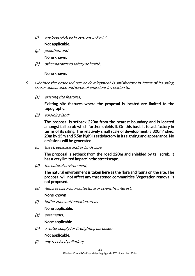(f) any Special Area Provisions in Part 7;

# Not applicable.

(g) pollution; and

#### None known.

(h) other hazards to safety or health.

# None known.

- 5. whether the proposed use or development is satisfactory in terms of its siting, size or appearance and levels of emissions in relation to:
	- (a) existing site features;

Existing site features where the proposal is located are limited to the topography.

(b) adjoining land;

The proposal is setback 220m from the nearest boundary and is located amongst tall scrub which further shields it. On this basis it is satisfactory in terms of its siting. The relatively small scale of development (a 300m $^2$  shed, 20m by 15m and 5.5m high) is satisfactory in its sighting and appearance. No emissions will be generated.

(c) the streetscape and/or landscape;

The proposal is setback from the road 220m and shielded by tall scrub. It has a very limited impact in the streetscape.

(d) the natural environment;

The natural environment is taken here as the flora and fauna on the site. The proposal will not affect any threatened communities. Vegetation removal is not proposed.

(e) items of historic, architectural or scientific interest;

None known

(f) buffer zones, attenuation areas

# None applicable.

(g) easements;

# None applicable.

(h) a water supply for firefighting purposes;

# Not applicable.

(i) any received pollution;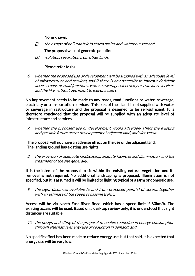#### None known.

 $(i)$  the escape of pollutants into storm drains and watercourses: and

# The proposal will not generate pollution.

(k) isolation, separation from other lands.

# Please refer to (b).

6. whether the proposed use or development will be supplied with an adequate level of infrastructure and services, and if there is any necessity to improve deficient access, roads or road junctions, water, sewerage, electricity or transport services and the like, without detriment to existing users;

No improvement needs to be made to any roads, road junctions or water, sewerage, electricity or transportation services. This part of the island is not supplied with water or sewerage infrastructure and the proposal is designed to be self-sufficient. It is therefore concluded that the proposal will be supplied with an adequate level of infrastructure and services.

7. whether the proposed use or development would adversely affect the existing and possible future use or development of adjacent land, and vice versa;

The proposal will not have an adverse effect on the use of the adjacent land. The landing ground has existing use rights.

8. the provision of adequate landscaping, amenity facilities and illumination, and the treatment of the site generally;

It is the intent of the proposal to sit within the existing natural vegetation and its removal is not required. No additional landscaping is proposed. Illumination is not specified, but it is assumed it will be limited to lighting typical of a farm or domestic use.

9. the sight distances available to and from proposed point(s) of access, together with an estimate of the speed of passing traffic;

Access will be via North East River Road, which has a speed limit if 80km/h. The existing access will be used. Based on a desktop review only, it is understood that sight distances are suitable.

10. the design and siting of the proposal to enable reduction in energy consumption through alternative energy use or reduction in demand; and

No specific effort has been made to reduce energy use, but that said, it is expected that energy use will be very low.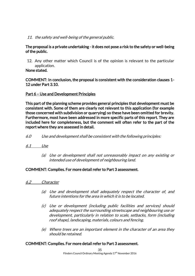11. the safety and well-being of the general public.

#### The proposal is a private undertaking - it does not pose a risk to the safety or well-being of the public.

12. Any other matter which Council is of the opinion is relevant to the particular application.

None stated.

COMMENT: In conclusion, the proposal is consistent with the consideration clauses 1- 12 under Part 3.10.

# Part 6 – Use and Development Principles

This part of the planning scheme provides general principles that development must be consistent with. Some of them are clearly not relevant to this application (for example those concerned with subdivision or quarrying) so these have been omitted for brevity. Furthermore, most have been addressed in more specific parts of this report. They are included here for completeness, but the comment will often refer to the part of the report where they are assessed in detail.

- 6.0 Use and development shall be consistent with the following principles:
- 6.1 Use
	- (a) Use or development shall not unreasonably impact on any existing or intended use of development of neighbouring land.

# COMMENT: Complies. For more detail refer to Part 3 assessment.

- 6.2 Character
	- (a) Use and development shall adequately respect the character of, and future intentions for the area in which it is to be located.
	- (c) Use or development (including public facilities and services) should adequately respect the surrounding streetscape and neighbouring use or development, particularly in relation to scale, setbacks, form (including roof shape), landscaping, materials, colours and fencing.
	- (e) Where trees are an important element in the character of an area they should be retained.

# COMMENT: Complies. For more detail refer to Part 3 assessment.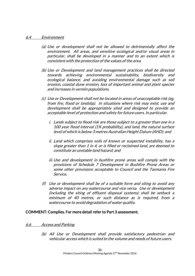#### 6.4 Environment

- (a) Use or development shall not be allowed to detrimentally affect the environment. All areas, and sensitive ecological and/or visual areas in particular, shall be developed in a manner and to an extent which is consistent with the protection of the values of the area.
- (b) Use or Development and land management practices shall be directed towards achieving environmental sustainability, biodiversity and ecological balance, and avoiding environmental damage such as soil erosion, coastal dune erosion, loss of important animal and plant species and increases in vermin populations.
- (c) Use or Development shall not be located in areas of unacceptable risk (eg. from fire, flood or landslip). In situations where risk may exist, use and development shall be appropriately sited and designed to provide an acceptable level of protection and safety for future users. In particular.
	- i. Lands subject to flood risk are those subject to a greater than one in a 100 year flood interval (1% probability), and land, the natural surface level of which is below 3 metres Australian Height Datum (AHD); and
	- ii. Land which comprises soils of known or suspected instability, has a slope greater than 1 in 4, or is filled or reclaimed land, are deemed to constitute an unstable land hazard; and
	- iii. Use and development in bushfire prone areas will comply with the provisions of Schedule 7 Development in Bushfire Prone Areas or some other provisions acceptable to Council and the Tasmania Fire Service.
- (f) Use or development shall be of a suitable form and siting to avoid any adverse impact on any watercourse and vice versa. Use or development (including the siting of effluent disposal systems) shall be setback a minimum of 40 metres, or such distance as is required, from a watercourse to avoid degradation of water quality.

#### COMMENT: Complies. For more detail refer to Part 3 assessment.

#### 6.6 Access and Parking

(b) All Use or Development shall provide satisfactory pedestrian and vehicular access which is suited to the volume and needs of future users.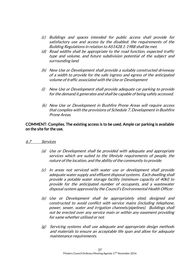- (c) Buildings and spaces intended for public access shall provide for satisfactory use and access by the disabled; the requirements of the Building Regulations in relation to AS1428.1-1988 shall be met.
- (d) Road widths shall be appropriate to the road function, expected traffic type and volume, and future subdivision potential of the subject and surrounding land.
- (h) New Use or Development shall provide a suitably constructed driveway of a width to provide for the safe ingress and egress of the anticipated volume of traffic associated with the Use or Development
- (i) New Use or Development shall provide adequate car parking to provide for the demand it generates and shall be capable of being safely accessed.
- (k) New Use or Development in Bushfire Prone Areas will require access that complies with the provisions of Schedule 7, Development in Bushfire Prone Areas.

#### COMMENT: Complies. The existing access is to be used. Ample car parking is available on the site for the use.

#### 6.7 Services

- (a) Use or Development shall be provided with adequate and appropriate services which are suited to the lifestyle requirements of people, the nature of the location, and the ability of the community to provide.
- (c) In areas not serviced with water use or development shall provide adequate water supply and effluent disposal systems. Each dwelling shall provide a potable water storage facility (minimum capacity of 40kl) to provide for the anticipated number of occupants, and a wastewater disposal system approved by the Council's Environmental Health Officer
- (e) Use or Development shall be appropriately sited, designed and constructed to avoid conflict with service mains (including telephone, power, sewer, water and irrigation channels/pipelines). Buildings shall not be erected over any service main or within any easement providing for same whether utilised or not.
- (g) Servicing systems shall use adequate and appropriate design methods and materials to ensure an acceptable life span and allow for adequate maintenance requirements.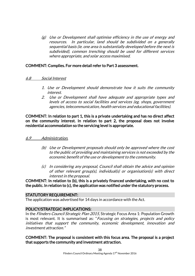(g) Use or Development shall optimise efficiency in the use of energy and resources. In particular, land should be subdivided on a generally sequential basis (ie. one area is substantially developed before the next is subdivided), common trenching should be used for different services where appropriate, and solar access maximised.

### COMMENT: Complies. For more detail refer to Part 3 assessment.

#### 6.8 Social Interest

- 1. Use or Development should demonstrate how it suits the community interest.
- 2. Use or Development shall have adequate and appropriate types and levels of access to social facilities and services (eg. shops, government agencies, telecommunication, health services and educational facilities).

COMMENT: In relation to part 1, this is a private undertaking and has no direct affect on the community interest. In relation to part 2, the proposal does not involve residential accommodation so the servicing level is appropriate.

#### 6.9 Administration.

- (b) Use or Development proposals should only be approved where the cost to the public of providing and maintaining services is not exceeded by the economic benefit of the use or development to the community.
- (c) In considering any proposal, Council shall obtain the advice and opinion of other relevant group(s), individual(s) or organisation(s) with direct interest in the proposal.

COMMENT: In relation to (b), this is a privately financed undertaking, with no cost to the public. In relation to (c), the application was notified under the statutory process.

#### STATUTORY REQUIREMENT:

The application was advertised for 14 days in accordance with the Act.

#### POLICY/STRATEGIC IMPLICATIONS:

In the Flinders Council Strategic Plan 2015, Strategic Focus Area 1: Population Growth is most relevant. It is summarised as: "Focusing on strategies, projects and policy initiatives that support the community, economic development, innovation and investment attraction."

COMMENT: The proposal is consistent with this focus area. The proposal is a project that supports the community and investment attraction.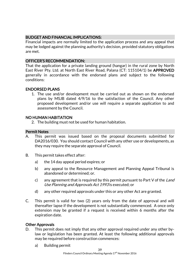# BUDGET AND FINANCIAL IMPLICATIONS:

Financial impacts are normally limited to the application process and any appeal that may be lodged against the planning authority's decision, provided statutory obligations are met.

# OFFICER'S RECOMMENDATION:

That the application for a private landing ground (hangar) in the rural zone by North East River Pty. Ltd. at North East River Road, Palana (CT: 115104/1) be APPROVED generally in accordance with the endorsed plans and subject to the following conditions:

# ENDORSED PLANS

1. The use and/or development must be carried out as shown on the endorsed plans by MSJB dated 4/9/16 to the satisfaction of the Council. Any other proposed development and/or use will require a separate application to and assessment by the Council.

# NO HUMAN HABITATION

2. The building must not be used for human habitation.

# Permit Notes

- A. This permit was issued based on the proposal documents submitted for DA2016/030. You should contact Council with any other use or developments, as they may require the separate approval of Council.
- B. This permit takes effect after:
	- a) the 14 day appeal period expires; or
	- b) any appeal to the Resource Management and Planning Appeal Tribunal is abandoned or determined; or.
	- c) any agreement that is required by this permit pursuant to Part V of the Land Use Planning and Approvals Act 1993 is executed; or
	- d) any other required approvals under this or any other Act are granted.
- C. This permit is valid for two (2) years only from the date of approval and will thereafter lapse if the development is not substantially commenced. A once only extension may be granted if a request is received within 6 months after the expiration date.

# Other Approvals

- D. This permit does not imply that any other approval required under any other bylaw or legislation has been granted. At least the following additional approvals may be required before construction commences:
	- a) Building permit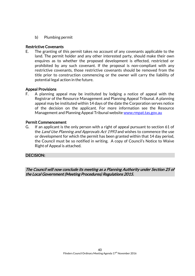b) Plumbing permit

# Restrictive Covenants

E. The granting of this permit takes no account of any covenants applicable to the land. The permit holder and any other interested party, should make their own enquires as to whether the proposed development is effected, restricted or prohibited by any such covenant. If the proposal is non-compliant with any restrictive covenants, those restrictive covenants should be removed from the title prior to construction commencing or the owner will carry the liability of potential legal action in the future.

# Appeal Provisions

F. A planning appeal may be instituted by lodging a notice of appeal with the Registrar of the Resource Management and Planning Appeal Tribunal. A planning appeal may be instituted within 14 days of the date the Corporation serves notice of the decision on the applicant. For more information see the Resource Management and Planning Appeal Tribunal website [www.rmpat.tas.gov.au](http://www.rmpat.tas.gov.au/)

#### Permit Commencement

G. If an applicant is the only person with a right of appeal pursuant to section 61 of the Land Use Planning and Approvals Act 1993 and wishes to commence the use or development for which the permit has been granted within that 14 day period, the Council must be so notified in writing. A copy of Council's Notice to Waive Right of Appeal is attached.

# DECISION:

The Council will now conclude its meeting as a Planning Authority under Section 25 of the Local Government (Meeting Procedures) Regulations 2015.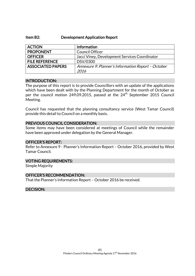#### Item B2: Development Application Report

| <b>ACTION</b>            | Information                                        |
|--------------------------|----------------------------------------------------|
| <b>PROPONENT</b>         | <b>Council Officer</b>                             |
| <b>OFFICER</b>           | Jacci Viney, Development Services Coordinator      |
| <b>FILE REFERENCE</b>    | DSV/0300                                           |
| <b>ASSOCIATED PAPERS</b> | Annexure 9: Planner's Information Report - October |
|                          | 2016                                               |

#### INTRODUCTION:

The purpose of this report is to provide Councillors with an update of the applications which have been dealt with by the Planning Department for the month of October as per the council motion 249.09.2015, passed at the 24<sup>th</sup> September 2015 Council Meeting.

Council has requested that the planning consultancy service (West Tamar Council) provide this detail to Council on a monthly basis.

#### PREVIOUS COUNCIL CONSIDERATION:

Some items may have been considered at meetings of Council while the remainder have been approved under delegation by the General Manager.

#### OFFICER'S REPORT:

Refer to Annexure 9 - Planner's Information Report – October 2016, provided by West Tamar Council.

#### VOTING REQUIREMENTS:

Simple Majority

#### OFFICER'S RECOMMENDATION:

That the Planner's Information Report – October 2016 be received.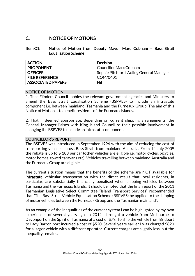# C. NOTICE OF MOTIONS

### Item C1: Notice of Motion from Deputy Mayor Marc Cobham – Bass Strait Equalisation Scheme

| <b>ACTION</b>            | <b>Decision</b>                          |
|--------------------------|------------------------------------------|
| <b>PROPONENT</b>         | <b>Councillor Marc Cobham</b>            |
| <b>OFFICER</b>           | Sophie Pitchford, Acting General Manager |
| <b>FILE REFERENCE</b>    | COM/0401                                 |
| <b>ASSOCIATED PAPERS</b> | Nil                                      |

#### NOTICE OF MOTION:

1. That Flinders Council lobbies the relevant government agencies and Ministers to amend the Bass Strait Equalisation Scheme (BSPVES) to include an intrastate component i.e. between 'mainland' Tasmania and the Furneaux Group. The aim of this Notice of Motion is to benefit residents of the Furneaux Islands.

2. That if deemed appropriate, depending on current shipping arrangements, the General Manager liaises with King Island Council re their possible involvement in changing the BSPVES to include an intrastate component.

### COUNCILLOR'S REPORT:

The BSPVES was introduced in September 1996 with the aim of reducing the cost of transporting vehicles across Bass Strait from mainland Australia. From  $1<sup>st</sup>$  July 2009 the rebate is up to \$ 183 per car (other vehicles are eligible i.e. motor cycles, bicycles, motor homes, towed caravans etc). Vehicles travelling between mainland Australia and the Furneaux Group are eligible.

The current situation means that the benefits of the scheme are NOT available for intrastate vehicular transportation with the direct result that local residents, in particular, are substantially financially penalised when shipping vehicles between Tasmania and the Furneaux Islands. It should be noted that the final report of the 2011 Tasmanian Legislative Select Committee "Island Transport Services" recommended that "The Bass Strait Vehicle Equalisation Scheme (BSPVES) be applied to the shipping of motor vehicles between the Furneaux Group and the Tasmanian mainland".

As an example of the inequalities of the current system I can be highlighted by my own experiences of several years ago. In 2012 I brought a vehicle from Melbourne to Devonport on the Spirit of Tasmania at a cost of \$79. To ship the vehicle from Bridport to Lady Barron port incurred a cost of \$520. Several years earlier I was charged \$820 for a larger vehicle with a different operator. Current charges are slightly less, but the inequality remains.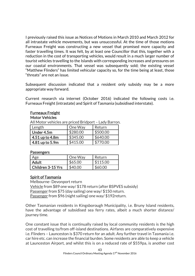I previously raised this issue as Notices of Motions in March 2010 and March 2012 for all intrastate vehicle movements, but was unsuccessful. At the time of those motions Furneaux Freight was constructing a new vessel that promised more capacity and faster travelling times. It was felt, by at least one Councillor that this, together with a reduction in the cost of transporting vehicles, would result in a much larger number of tourist vehicles travelling to the Islands with corresponding increases and pressures on our coastal environments. That vessel was subsequently sold; the existing vessel "Matthew Flinders" has limited vehicular capacity so, for the time being at least, those "threats" are not an issue.

Subsequent discussion indicated that a resident only subsidy may be a more appropriate way forward.

Current research via internet (October 2016) indicated the following costs i.e. Furneaux Freight (intrastate) and Spirit of Tasmania (subsidised interstate).

# Furneaux Freight

#### Motor Vehicles

All Motor vehicles are priced Bridport – Lady Barron.

| Length          | One Way  | Return   |
|-----------------|----------|----------|
| Under 4.5m      | \$280.00 | \$500.00 |
| 4.51 up to 4.8m | \$345.00 | \$640.00 |
| 4.81 up to 5.9m | \$415.00 | \$770.00 |

#### **Passengers**

| Age               | One Way | Return   |
|-------------------|---------|----------|
| <b>Adult</b>      | \$65.00 | \$115.00 |
| Children 3-15 Yrs | \$40.00 | \$60.00  |

#### Spirit of Tasmania

Melbourne- Devonport return Vehicle from \$89 one way/ \$178 return (after BSPVES subsidy) Passenger from \$75 (day sailing) one way/ \$150 return. Passenger from \$96 (night sailing) one way/ \$192return.

Other Tasmanian residents in Kingsborough Municipality, i.e. Bruny Island residents, have the advantage of subsidised sea ferry rates, albeit a much shorter distance/ journey time.

One constant issue that is continually raised by local community residents is the high cost of travelling to/from off-island destinations. Airfares are comparatively expensive i.e. Flinders – Launceston is \$370 return for an adult. Any further travel in Tasmania i.e. car hire etc. can increase the financial burden. Some residents are able to keep a vehicle at Launceston Airport, and whilst this is on a reduced rate of \$559pa, is another cost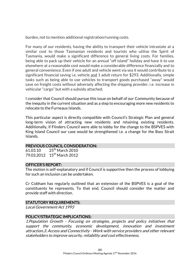burden, not to mention additional registration/running costs.

For many of our residents, having the ability to transport their vehicle intrastate at a similar cost to those Tasmanian residents and tourists who utilise the Spirit of Tasmania, would make a significant difference to general living costs. For families, being able to pack up their vehicle for an annual "off island" holiday and have it to use elsewhere at a reasonable cost would make a considerable difference financially and to general convenience. Even if one adult and vehicle went via sea it would contribute to a significant financial saving i.e. vehicle and 1 adult return for \$293. Additionally, simple tasks such as being able to use vehicles to transport goods purchased "away" would save on freight costs without adversely affecting the shipping provider, i.e. increase in vehicular "cargo" but with a subsidy attached.

I consider that Council should pursue this issue on behalf of our Community because of the inequity in the current situation and as a step to encouraging more new residents to relocate to the Furneaux Islands.

This particular aspect is directly compatible with Council's Strategic Plan and general long-term vision of attracting new residents and retaining existing residents. Additionally, if Flinders Council were able to lobby for the change to the BSPVES with King Island Council our case would be strengthened i.e. a change for the Bass Strait Islands.

# PREVIOUS COUNCIL CONSIDERATION:

61.03.10 25<sup>th</sup> March 2010 79.03.2012 15<sup>th</sup> March 2012

#### OFFICER'S REPORT:

The motion is self-explanatory and if Council is supportive then the process of lobbying for such an inclusion can be undertaken.

Cr Cobham has regularly outlined that an extension of the BSPVES is a goal of the constituents he represents. To that end, Council should consider the matter and provide staff with direction.

# STATUTORY REQUIREMENTS:

Local Government Act 1993

# POLICY/STRATEGIC IMPLICATIONS:

1.Population Growth - Focusing on strategies, projects and policy initiatives that support the community, economic development, innovation and investment attraction.3. Access and Connectivity - Work with service providers and other relevant stakeholders to improve security, reliability and cost effectiveness.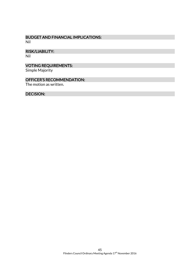#### BUDGET AND FINANCIAL IMPLICATIONS: Nil

RISK/LIABILITY:

Nil

# VOTING REQUIREMENTS:

Simple Majority

# OFFICER'S RECOMMENDATION:

The motion as written.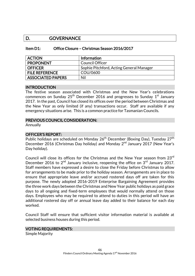# D. GOVERNANCE

| Item D1: | Office Closure - Christmas Season 2016/2017 |  |  |  |
|----------|---------------------------------------------|--|--|--|
|----------|---------------------------------------------|--|--|--|

| <b>ACTION</b>            | Information                              |
|--------------------------|------------------------------------------|
| <b>PROPONENT</b>         | <b>Council Officer</b>                   |
| <b>OFFICER</b>           | Sophie Pitchford, Acting General Manager |
| <b>FILE REFERENCE</b>    | COU/0600                                 |
| <b>ASSOCIATED PAPERS</b> | Nil                                      |

#### INTRODUCTION

The festive season associated with Christmas and the New Year's celebrations commences on Sunday 25<sup>th</sup> December 2016 and progresses to Sunday 1 $^{\rm st}$  January 2017. In the past, Council has closed its offices over the period between Christmas and the New Year as only limited (if any) transactions occur. Staff are available if any emergency situations arise. This is a common practice for Tasmanian Councils.

#### PREVIOUS COUNCIL CONSIDERATION:

Annually

#### OFFICER'S REPORT:

Public holidays are scheduled on Monday 26<sup>th</sup> December (Boxing Day), Tuesday 27<sup>th</sup> December 2016 (Christmas Day holiday) and Monday 2<sup>nd</sup> January 2017 (New Year's Day holiday).

Council will close its offices for the Christmas and the New Year season from 23rd December 2016 to  $2<sup>nd</sup>$  January inclusive, reopening the office on  $3<sup>rd</sup>$  January 2017. Staff members have expressed a desire to close the Friday before Christmas to allow for arrangements to be made prior to the holiday season. Arrangements are in place to ensure that appropriate leave and/or accrued rostered days off are taken for this purpose. The newly adopted 2016-2019 Enterprise Bargaining Agreement provides the three work days between the Christmas and New Year public holidays as paid grace days to all ongoing and fixed-term employees that would normally attend on those days. Employees who may be required to attend to duties in this period will have an additional rostered day off or annual leave day added to their balance for each day worked.

Council Staff will ensure that sufficient visitor information material is available at selected business houses during this period.

#### VOTING REQUIREMENTS:

Simple Majority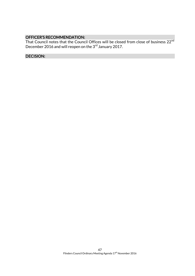#### OFFICER'S RECOMMENDATION:

That Council notes that the Council Offices will be closed from close of business  $22^{\mathsf{nd}}$ December 2016 and will reopen on the 3 $^{\rm rd}$  January 2017.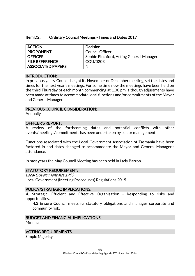#### Item D2: Ordinary Council Meetings - Times and Dates 2017

| <b>ACTION</b>            | Decision                                 |
|--------------------------|------------------------------------------|
| <b>PROPONENT</b>         | Council Officer                          |
| <b>OFFICER</b>           | Sophie Pitchford, Acting General Manager |
| <b>FILE REFERENCE</b>    | COU/0203                                 |
| <b>ASSOCIATED PAPERS</b> | Nil                                      |

#### INTRODUCTION:

In previous years, Council has, at its November or December meeting, set the dates and times for the next year's meetings. For some time now the meetings have been held on the third Thursday of each month commencing at 1.00 pm, although adjustments have been made at times to accommodate local functions and/or commitments of the Mayor and General Manager.

#### PREVIOUS COUNCIL CONSIDERATION:

Annually

#### OFFICER'S REPORT:

A review of the forthcoming dates and potential conflicts with other events/meetings/commitments has been undertaken by senior management.

Functions associated with the Local Government Association of Tasmania have been factored in and dates changed to accommodate the Mayor and General Manager's attendance.

In past years the May Council Meeting has been held in Lady Barron.

#### STATUTORY REQUIREMENT:

Local Government Act 1993 Local Government (Meeting Procedures) Regulations 2015

#### POLICY/STRATEGIC IMPLICATIONS:

4. Strategic, Efficient and Effective Organisation - Responding to risks and opportunities.

4.3 Ensure Council meets its statutory obligations and manages corporate and community risk.

#### BUDGET AND FINANCIAL IMPLICATIONS Minimal

#### VOTING REQUIREMENTS

Simple Majority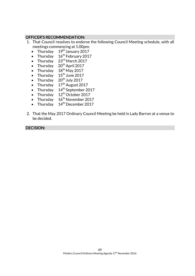# OFFICER'S RECOMMENDATION:

- 1. That Council resolves to endorse the following Council Meeting schedule, with all meetings commencing at 1.00pm:
	- Thursday  $19<sup>th</sup>$  January 2017
	- Thursday  $16^{th}$  February 2017
	- Thursday  $23^{\text{rd}}$  March 2017
	- Thursday 20<sup>th</sup> April 2017
	- Thursday  $18^{th}$  May 2017
	- Thursday  $15^{\text{th}}$  June 2017
	- Thursday 20<sup>th</sup> July 2017
	- Thursday  $17<sup>th</sup>$  August 2017
	- Thursday  $14<sup>th</sup>$  September 2017
	- Thursday  $12<sup>th</sup>$  October 2017
	- Thursday  $16^{th}$  November 2017
	- Thursday  $14<sup>th</sup>$  December 2017
- 2. That the May 2017 Ordinary Council Meeting be held in Lady Barron at a venue to be decided.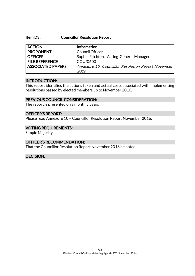#### Item D3: Councillor Resolution Report

| <b>ACTION</b>            | Information                                        |
|--------------------------|----------------------------------------------------|
| <b>PROPONENT</b>         | <b>Council Officer</b>                             |
| <b>OFFICER</b>           | Sophie Pitchford, Acting General Manager           |
| <b>FILE REFERENCE</b>    | COU/0600                                           |
| <b>ASSOCIATED PAPERS</b> | Annexure 10: Councillor Resolution Report November |
|                          | 2016                                               |

#### INTRODUCTION:

This report identifies the actions taken and actual costs associated with implementing resolutions passed by elected members up to November 2016.

#### PREVIOUS COUNCIL CONSIDERATION:

The report is presented on a monthly basis.

#### OFFICER'S REPORT:

Please read Annexure 10 – Councillor Resolution Report November 2016.

#### VOTING REQUIREMENTS:

Simple Majority

#### OFFICER'S RECOMMENDATION:

That the Councillor Resolution Report November 2016 be noted.